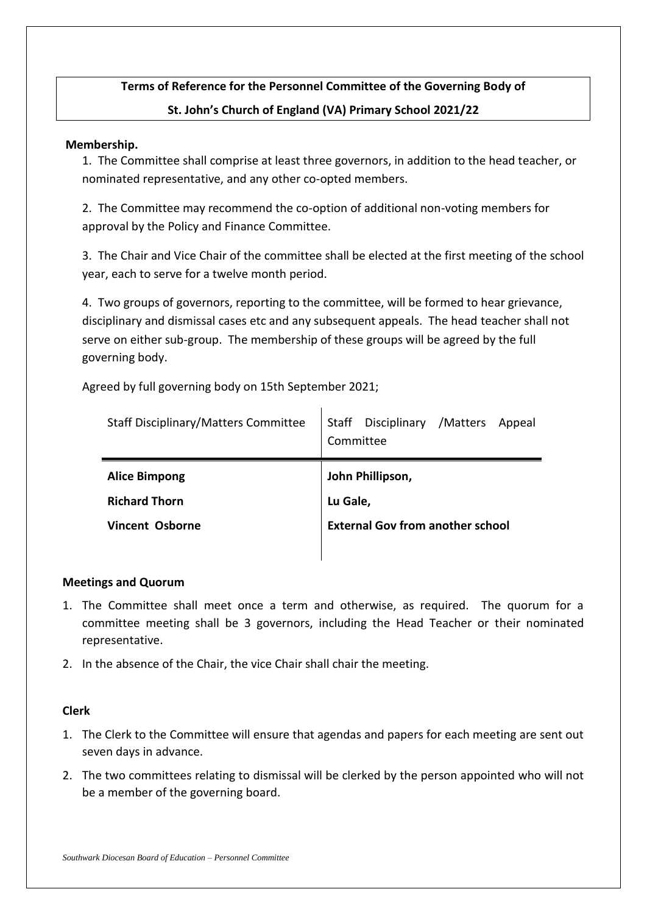# **Terms of Reference for the Personnel Committee of the Governing Body of St. John's Church of England (VA) Primary School 2021/22**

#### **Membership.**

1. The Committee shall comprise at least three governors, in addition to the head teacher, or nominated representative, and any other co-opted members.

2. The Committee may recommend the co-option of additional non-voting members for approval by the Policy and Finance Committee.

3. The Chair and Vice Chair of the committee shall be elected at the first meeting of the school year, each to serve for a twelve month period.

4. Two groups of governors, reporting to the committee, will be formed to hear grievance, disciplinary and dismissal cases etc and any subsequent appeals. The head teacher shall not serve on either sub-group. The membership of these groups will be agreed by the full governing body.

Agreed by full governing body on 15th September 2021;

| <b>Staff Disciplinary/Matters Committee</b>                            | Staff Disciplinary /Matters<br>Appeal<br>Committee                      |
|------------------------------------------------------------------------|-------------------------------------------------------------------------|
| <b>Alice Bimpong</b><br><b>Richard Thorn</b><br><b>Vincent Osborne</b> | John Phillipson,<br>Lu Gale,<br><b>External Gov from another school</b> |
|                                                                        |                                                                         |

# **Meetings and Quorum**

- 1. The Committee shall meet once a term and otherwise, as required. The quorum for a committee meeting shall be 3 governors, including the Head Teacher or their nominated representative.
- 2. In the absence of the Chair, the vice Chair shall chair the meeting.

# **Clerk**

- 1. The Clerk to the Committee will ensure that agendas and papers for each meeting are sent out seven days in advance.
- 2. The two committees relating to dismissal will be clerked by the person appointed who will not be a member of the governing board.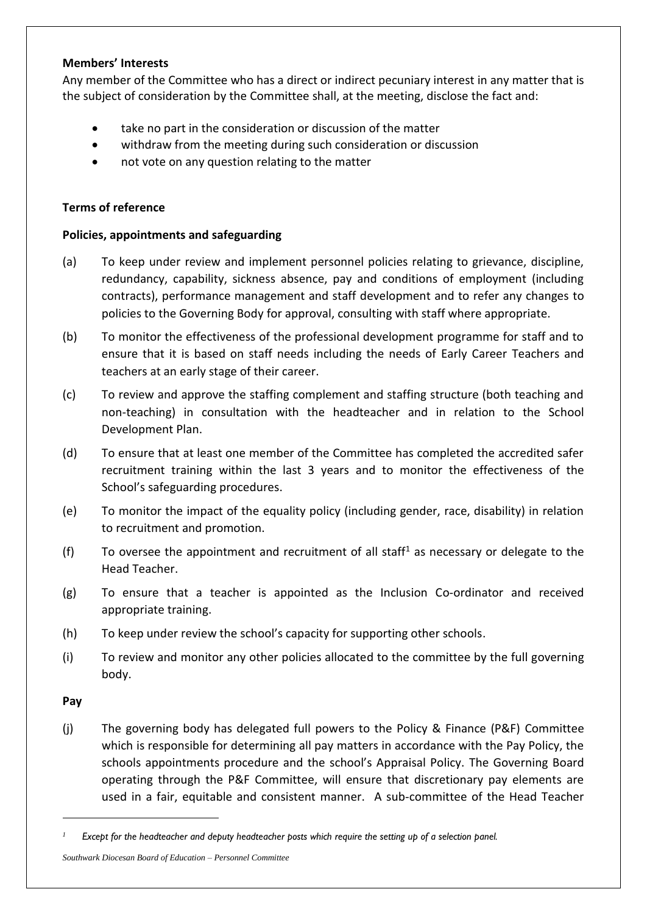#### **Members' Interests**

Any member of the Committee who has a direct or indirect pecuniary interest in any matter that is the subject of consideration by the Committee shall, at the meeting, disclose the fact and:

- take no part in the consideration or discussion of the matter
- withdraw from the meeting during such consideration or discussion
- not vote on any question relating to the matter

## **Terms of reference**

## **Policies, appointments and safeguarding**

- (a) To keep under review and implement personnel policies relating to grievance, discipline, redundancy, capability, sickness absence, pay and conditions of employment (including contracts), performance management and staff development and to refer any changes to policies to the Governing Body for approval, consulting with staff where appropriate.
- (b) To monitor the effectiveness of the professional development programme for staff and to ensure that it is based on staff needs including the needs of Early Career Teachers and teachers at an early stage of their career.
- (c) To review and approve the staffing complement and staffing structure (both teaching and non-teaching) in consultation with the headteacher and in relation to the School Development Plan.
- (d) To ensure that at least one member of the Committee has completed the accredited safer recruitment training within the last 3 years and to monitor the effectiveness of the School's safeguarding procedures.
- (e) To monitor the impact of the equality policy (including gender, race, disability) in relation to recruitment and promotion.
- (f) To oversee the appointment and recruitment of all staff<sup>1</sup> as necessary or delegate to the Head Teacher.
- (g) To ensure that a teacher is appointed as the Inclusion Co-ordinator and received appropriate training.
- (h) To keep under review the school's capacity for supporting other schools.
- (i) To review and monitor any other policies allocated to the committee by the full governing body.

**Pay**

-

(j) The governing body has delegated full powers to the Policy & Finance (P&F) Committee which is responsible for determining all pay matters in accordance with the Pay Policy, the schools appointments procedure and the school's Appraisal Policy. The Governing Board operating through the P&F Committee, will ensure that discretionary pay elements are used in a fair, equitable and consistent manner. A sub-committee of the Head Teacher

*Southwark Diocesan Board of Education – Personnel Committee*

*<sup>1</sup> Except for the headteacher and deputy headteacher posts which require the setting up of a selection panel.*